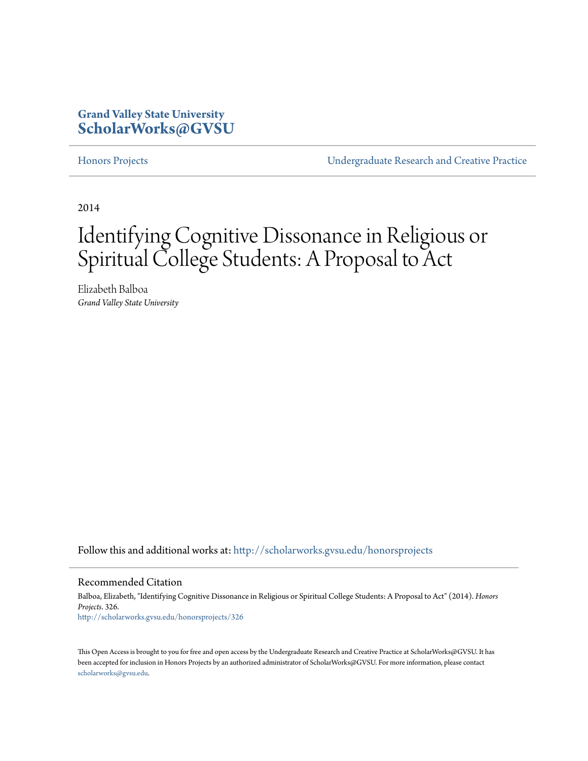## **Grand Valley State University [ScholarWorks@GVSU](http://scholarworks.gvsu.edu?utm_source=scholarworks.gvsu.edu%2Fhonorsprojects%2F326&utm_medium=PDF&utm_campaign=PDFCoverPages)**

[Honors Projects](http://scholarworks.gvsu.edu/honorsprojects?utm_source=scholarworks.gvsu.edu%2Fhonorsprojects%2F326&utm_medium=PDF&utm_campaign=PDFCoverPages) [Undergraduate Research and Creative Practice](http://scholarworks.gvsu.edu/urcp?utm_source=scholarworks.gvsu.edu%2Fhonorsprojects%2F326&utm_medium=PDF&utm_campaign=PDFCoverPages)

2014

# Identifying Cognitive Dissonance in Religious or Spiritual College Students: A Proposal to Act

Elizabeth Balboa *Grand Valley State University*

Follow this and additional works at: [http://scholarworks.gvsu.edu/honorsprojects](http://scholarworks.gvsu.edu/honorsprojects?utm_source=scholarworks.gvsu.edu%2Fhonorsprojects%2F326&utm_medium=PDF&utm_campaign=PDFCoverPages)

#### Recommended Citation

Balboa, Elizabeth, "Identifying Cognitive Dissonance in Religious or Spiritual College Students: A Proposal to Act" (2014). *Honors Projects*. 326. [http://scholarworks.gvsu.edu/honorsprojects/326](http://scholarworks.gvsu.edu/honorsprojects/326?utm_source=scholarworks.gvsu.edu%2Fhonorsprojects%2F326&utm_medium=PDF&utm_campaign=PDFCoverPages)

This Open Access is brought to you for free and open access by the Undergraduate Research and Creative Practice at ScholarWorks@GVSU. It has been accepted for inclusion in Honors Projects by an authorized administrator of ScholarWorks@GVSU. For more information, please contact [scholarworks@gvsu.edu](mailto:scholarworks@gvsu.edu).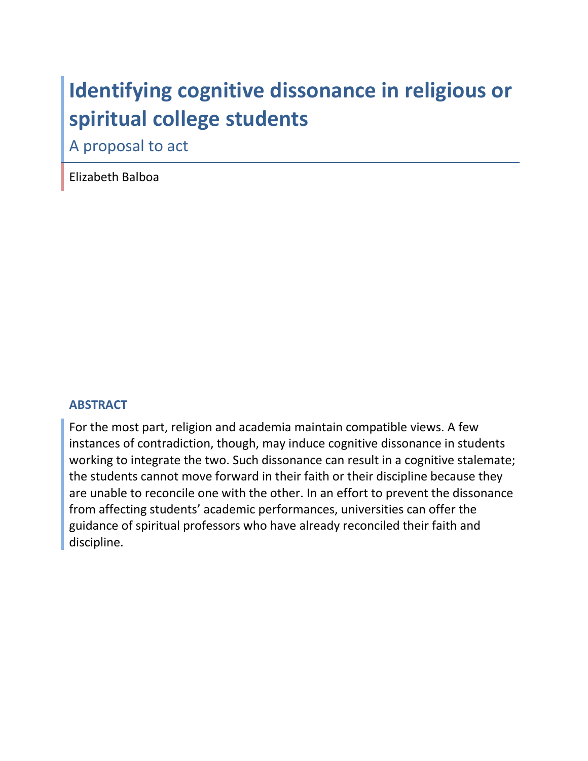# Identifying cognitive dissonance in religious or spiritual college students

A proposal to act

Elizabeth Balboa

### **ABSTRACT**

For the most part, religion and academia maintain compatible views. A few instances of contradiction, though, may induce cognitive dissonance in students working to integrate the two. Such dissonance can result in a cognitive stalemate; the students cannot move forward in their faith or their discipline because they are unable to reconcile one with the other. In an effort to prevent the dissonance from affecting students' academic performances, universities can offer the guidance of spiritual professors who have already reconciled their faith and discipline.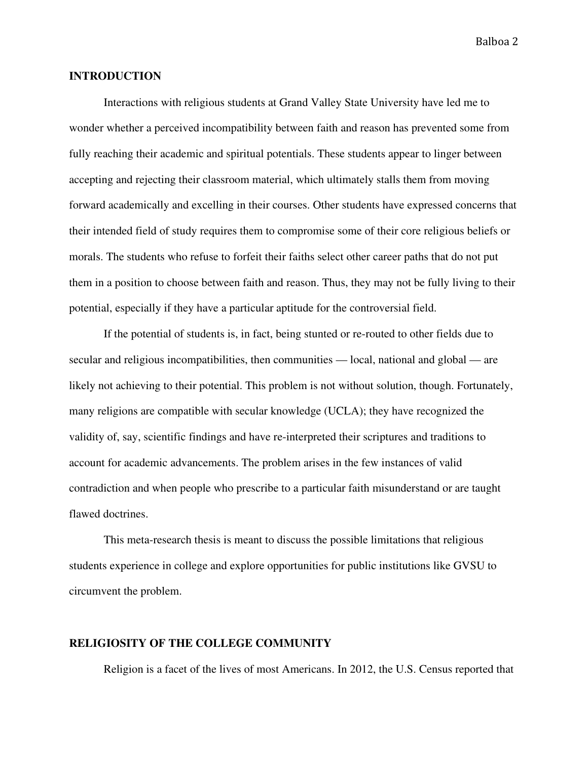#### **INTRODUCTION**

Interactions with religious students at Grand Valley State University have led me to wonder whether a perceived incompatibility between faith and reason has prevented some from fully reaching their academic and spiritual potentials. These students appear to linger between accepting and rejecting their classroom material, which ultimately stalls them from moving forward academically and excelling in their courses. Other students have expressed concerns that their intended field of study requires them to compromise some of their core religious beliefs or morals. The students who refuse to forfeit their faiths select other career paths that do not put them in a position to choose between faith and reason. Thus, they may not be fully living to their potential, especially if they have a particular aptitude for the controversial field.

If the potential of students is, in fact, being stunted or re-routed to other fields due to secular and religious incompatibilities, then communities — local, national and global — are likely not achieving to their potential. This problem is not without solution, though. Fortunately, many religions are compatible with secular knowledge (UCLA); they have recognized the validity of, say, scientific findings and have re-interpreted their scriptures and traditions to account for academic advancements. The problem arises in the few instances of valid contradiction and when people who prescribe to a particular faith misunderstand or are taught flawed doctrines.

This meta-research thesis is meant to discuss the possible limitations that religious students experience in college and explore opportunities for public institutions like GVSU to circumvent the problem.

#### **RELIGIOSITY OF THE COLLEGE COMMUNITY**

Religion is a facet of the lives of most Americans. In 2012, the U.S. Census reported that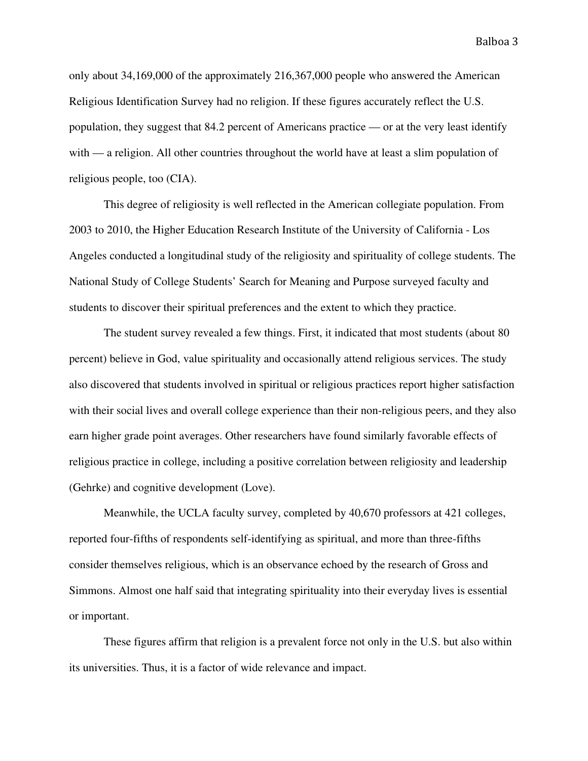only about 34,169,000 of the approximately 216,367,000 people who answered the American Religious Identification Survey had no religion. If these figures accurately reflect the U.S. population, they suggest that 84.2 percent of Americans practice — or at the very least identify with — a religion. All other countries throughout the world have at least a slim population of religious people, too (CIA).

This degree of religiosity is well reflected in the American collegiate population. From 2003 to 2010, the Higher Education Research Institute of the University of California - Los Angeles conducted a longitudinal study of the religiosity and spirituality of college students. The National Study of College Students' Search for Meaning and Purpose surveyed faculty and students to discover their spiritual preferences and the extent to which they practice.

The student survey revealed a few things. First, it indicated that most students (about 80 percent) believe in God, value spirituality and occasionally attend religious services. The study also discovered that students involved in spiritual or religious practices report higher satisfaction with their social lives and overall college experience than their non-religious peers, and they also earn higher grade point averages. Other researchers have found similarly favorable effects of religious practice in college, including a positive correlation between religiosity and leadership (Gehrke) and cognitive development (Love).

Meanwhile, the UCLA faculty survey, completed by 40,670 professors at 421 colleges, reported four-fifths of respondents self-identifying as spiritual, and more than three-fifths consider themselves religious, which is an observance echoed by the research of Gross and Simmons. Almost one half said that integrating spirituality into their everyday lives is essential or important.

These figures affirm that religion is a prevalent force not only in the U.S. but also within its universities. Thus, it is a factor of wide relevance and impact.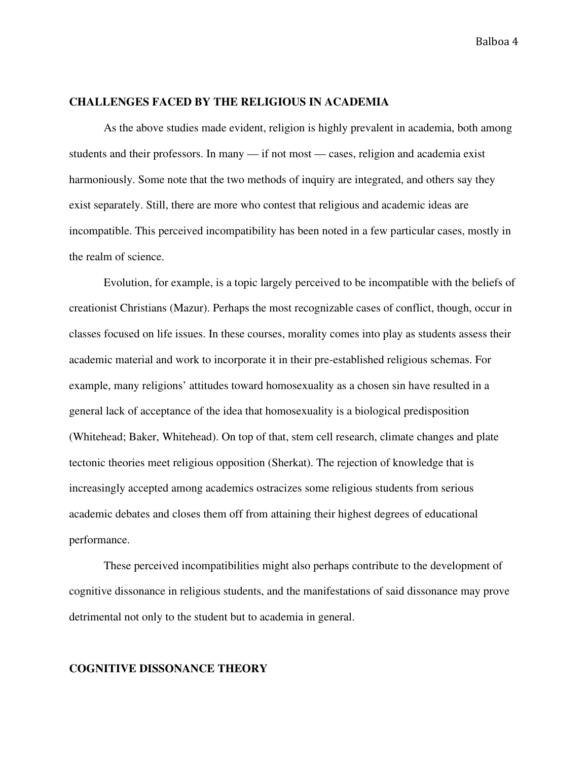#### **CHALLENGES FACED BY THE RELIGIOUS IN ACADEMIA**

As the above studies made evident, religion is highly prevalent in academia, both among students and their professors. In many — if not most — cases, religion and academia exist harmoniously. Some note that the two methods of inquiry are integrated, and others say they exist separately. Still, there are more who contest that religious and academic ideas are incompatible. This perceived incompatibility has been noted in a few particular cases, mostly in the realm of science.

Evolution, for example, is a topic largely perceived to be incompatible with the beliefs of creationist Christians (Mazur). Perhaps the most recognizable cases of conflict, though, occur in classes focused on life issues. In these courses, morality comes into play as students assess their academic material and work to incorporate it in their pre-established religious schemas. For example, many religions' attitudes toward homosexuality as a chosen sin have resulted in a general lack of acceptance of the idea that homosexuality is a biological predisposition (Whitehead; Baker, Whitehead). On top of that, stem cell research, climate changes and plate tectonic theories meet religious opposition (Sherkat). The rejection of knowledge that is increasingly accepted among academics ostracizes some religious students from serious academic debates and closes them off from attaining their highest degrees of educational performance.

These perceived incompatibilities might also perhaps contribute to the development of cognitive dissonance in religious students, and the manifestations of said dissonance may prove detrimental not only to the student but to academia in general.

#### **COGNITIVE DISSONANCE THEORY**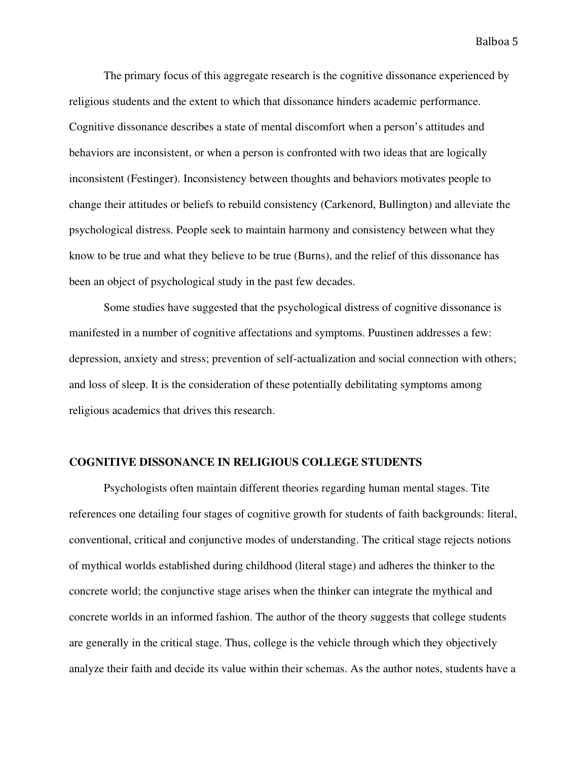The primary focus of this aggregate research is the cognitive dissonance experienced by religious students and the extent to which that dissonance hinders academic performance. Cognitive dissonance describes a state of mental discomfort when a person's attitudes and behaviors are inconsistent, or when a person is confronted with two ideas that are logically inconsistent (Festinger). Inconsistency between thoughts and behaviors motivates people to change their attitudes or beliefs to rebuild consistency (Carkenord, Bullington) and alleviate the psychological distress. People seek to maintain harmony and consistency between what they know to be true and what they believe to be true (Burns), and the relief of this dissonance has been an object of psychological study in the past few decades.

Some studies have suggested that the psychological distress of cognitive dissonance is manifested in a number of cognitive affectations and symptoms. Puustinen addresses a few: depression, anxiety and stress; prevention of self-actualization and social connection with others; and loss of sleep. It is the consideration of these potentially debilitating symptoms among religious academics that drives this research.

#### **COGNITIVE DISSONANCE IN RELIGIOUS COLLEGE STUDENTS**

Psychologists often maintain different theories regarding human mental stages. Tite references one detailing four stages of cognitive growth for students of faith backgrounds: literal, conventional, critical and conjunctive modes of understanding. The critical stage rejects notions of mythical worlds established during childhood (literal stage) and adheres the thinker to the concrete world; the conjunctive stage arises when the thinker can integrate the mythical and concrete worlds in an informed fashion. The author of the theory suggests that college students are generally in the critical stage. Thus, college is the vehicle through which they objectively analyze their faith and decide its value within their schemas. As the author notes, students have a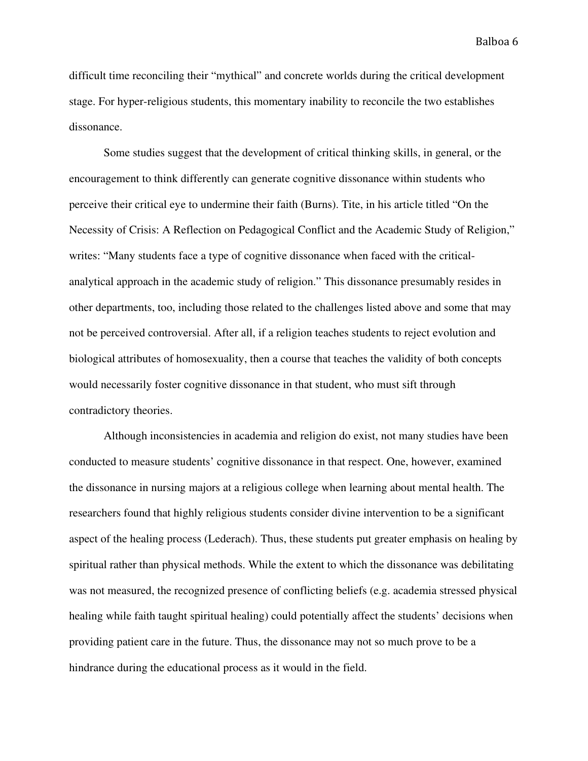difficult time reconciling their "mythical" and concrete worlds during the critical development stage. For hyper-religious students, this momentary inability to reconcile the two establishes dissonance.

Some studies suggest that the development of critical thinking skills, in general, or the encouragement to think differently can generate cognitive dissonance within students who perceive their critical eye to undermine their faith (Burns). Tite, in his article titled "On the Necessity of Crisis: A Reflection on Pedagogical Conflict and the Academic Study of Religion," writes: "Many students face a type of cognitive dissonance when faced with the criticalanalytical approach in the academic study of religion." This dissonance presumably resides in other departments, too, including those related to the challenges listed above and some that may not be perceived controversial. After all, if a religion teaches students to reject evolution and biological attributes of homosexuality, then a course that teaches the validity of both concepts would necessarily foster cognitive dissonance in that student, who must sift through contradictory theories.

Although inconsistencies in academia and religion do exist, not many studies have been conducted to measure students' cognitive dissonance in that respect. One, however, examined the dissonance in nursing majors at a religious college when learning about mental health. The researchers found that highly religious students consider divine intervention to be a significant aspect of the healing process (Lederach). Thus, these students put greater emphasis on healing by spiritual rather than physical methods. While the extent to which the dissonance was debilitating was not measured, the recognized presence of conflicting beliefs (e.g. academia stressed physical healing while faith taught spiritual healing) could potentially affect the students' decisions when providing patient care in the future. Thus, the dissonance may not so much prove to be a hindrance during the educational process as it would in the field.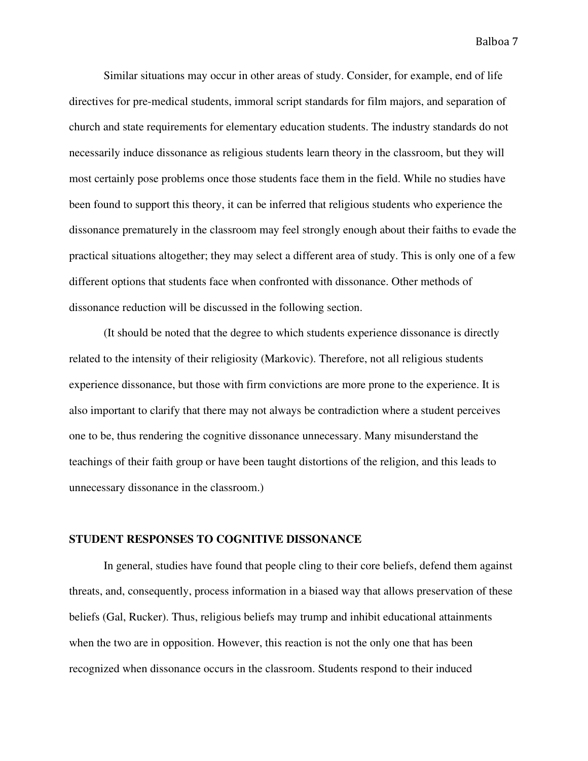Similar situations may occur in other areas of study. Consider, for example, end of life directives for pre-medical students, immoral script standards for film majors, and separation of church and state requirements for elementary education students. The industry standards do not necessarily induce dissonance as religious students learn theory in the classroom, but they will most certainly pose problems once those students face them in the field. While no studies have been found to support this theory, it can be inferred that religious students who experience the dissonance prematurely in the classroom may feel strongly enough about their faiths to evade the practical situations altogether; they may select a different area of study. This is only one of a few different options that students face when confronted with dissonance. Other methods of dissonance reduction will be discussed in the following section.

(It should be noted that the degree to which students experience dissonance is directly related to the intensity of their religiosity (Markovic). Therefore, not all religious students experience dissonance, but those with firm convictions are more prone to the experience. It is also important to clarify that there may not always be contradiction where a student perceives one to be, thus rendering the cognitive dissonance unnecessary. Many misunderstand the teachings of their faith group or have been taught distortions of the religion, and this leads to unnecessary dissonance in the classroom.)

### **STUDENT RESPONSES TO COGNITIVE DISSONANCE**

In general, studies have found that people cling to their core beliefs, defend them against threats, and, consequently, process information in a biased way that allows preservation of these beliefs (Gal, Rucker). Thus, religious beliefs may trump and inhibit educational attainments when the two are in opposition. However, this reaction is not the only one that has been recognized when dissonance occurs in the classroom. Students respond to their induced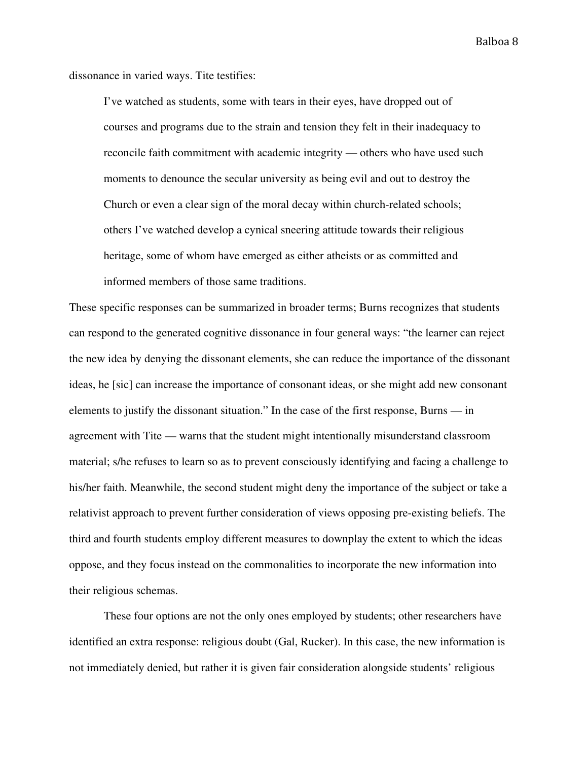dissonance in varied ways. Tite testifies:

I've watched as students, some with tears in their eyes, have dropped out of courses and programs due to the strain and tension they felt in their inadequacy to reconcile faith commitment with academic integrity — others who have used such moments to denounce the secular university as being evil and out to destroy the Church or even a clear sign of the moral decay within church-related schools; others I've watched develop a cynical sneering attitude towards their religious heritage, some of whom have emerged as either atheists or as committed and informed members of those same traditions.

These specific responses can be summarized in broader terms; Burns recognizes that students can respond to the generated cognitive dissonance in four general ways: "the learner can reject the new idea by denying the dissonant elements, she can reduce the importance of the dissonant ideas, he [sic] can increase the importance of consonant ideas, or she might add new consonant elements to justify the dissonant situation." In the case of the first response, Burns — in agreement with Tite — warns that the student might intentionally misunderstand classroom material; s/he refuses to learn so as to prevent consciously identifying and facing a challenge to his/her faith. Meanwhile, the second student might deny the importance of the subject or take a relativist approach to prevent further consideration of views opposing pre-existing beliefs. The third and fourth students employ different measures to downplay the extent to which the ideas oppose, and they focus instead on the commonalities to incorporate the new information into their religious schemas.

These four options are not the only ones employed by students; other researchers have identified an extra response: religious doubt (Gal, Rucker). In this case, the new information is not immediately denied, but rather it is given fair consideration alongside students' religious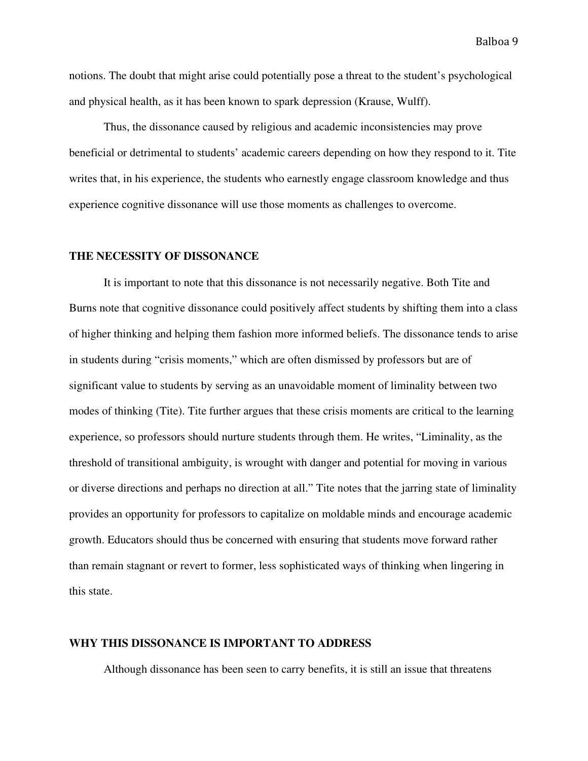notions. The doubt that might arise could potentially pose a threat to the student's psychological and physical health, as it has been known to spark depression (Krause, Wulff).

Thus, the dissonance caused by religious and academic inconsistencies may prove beneficial or detrimental to students' academic careers depending on how they respond to it. Tite writes that, in his experience, the students who earnestly engage classroom knowledge and thus experience cognitive dissonance will use those moments as challenges to overcome.

#### **THE NECESSITY OF DISSONANCE**

It is important to note that this dissonance is not necessarily negative. Both Tite and Burns note that cognitive dissonance could positively affect students by shifting them into a class of higher thinking and helping them fashion more informed beliefs. The dissonance tends to arise in students during "crisis moments," which are often dismissed by professors but are of significant value to students by serving as an unavoidable moment of liminality between two modes of thinking (Tite). Tite further argues that these crisis moments are critical to the learning experience, so professors should nurture students through them. He writes, "Liminality, as the threshold of transitional ambiguity, is wrought with danger and potential for moving in various or diverse directions and perhaps no direction at all." Tite notes that the jarring state of liminality provides an opportunity for professors to capitalize on moldable minds and encourage academic growth. Educators should thus be concerned with ensuring that students move forward rather than remain stagnant or revert to former, less sophisticated ways of thinking when lingering in this state.

#### **WHY THIS DISSONANCE IS IMPORTANT TO ADDRESS**

Although dissonance has been seen to carry benefits, it is still an issue that threatens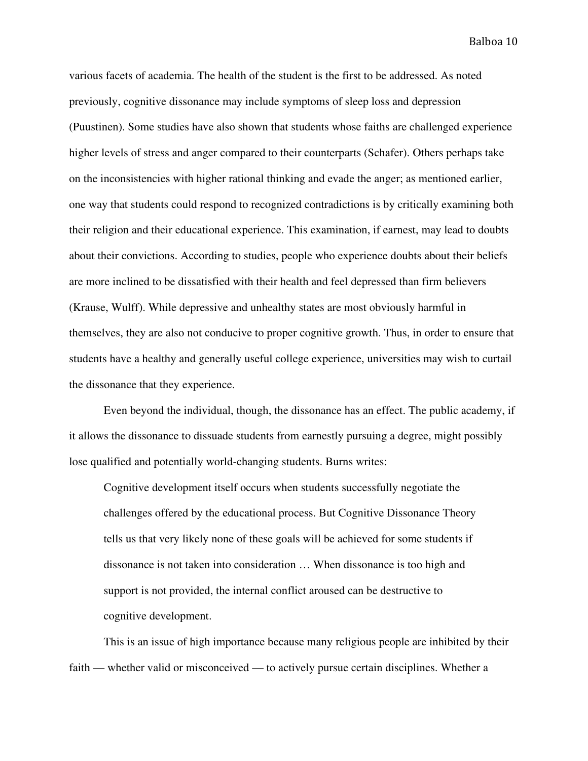various facets of academia. The health of the student is the first to be addressed. As noted previously, cognitive dissonance may include symptoms of sleep loss and depression (Puustinen). Some studies have also shown that students whose faiths are challenged experience higher levels of stress and anger compared to their counterparts (Schafer). Others perhaps take on the inconsistencies with higher rational thinking and evade the anger; as mentioned earlier, one way that students could respond to recognized contradictions is by critically examining both their religion and their educational experience. This examination, if earnest, may lead to doubts about their convictions. According to studies, people who experience doubts about their beliefs are more inclined to be dissatisfied with their health and feel depressed than firm believers (Krause, Wulff). While depressive and unhealthy states are most obviously harmful in themselves, they are also not conducive to proper cognitive growth. Thus, in order to ensure that students have a healthy and generally useful college experience, universities may wish to curtail the dissonance that they experience.

Even beyond the individual, though, the dissonance has an effect. The public academy, if it allows the dissonance to dissuade students from earnestly pursuing a degree, might possibly lose qualified and potentially world-changing students. Burns writes:

Cognitive development itself occurs when students successfully negotiate the challenges offered by the educational process. But Cognitive Dissonance Theory tells us that very likely none of these goals will be achieved for some students if dissonance is not taken into consideration … When dissonance is too high and support is not provided, the internal conflict aroused can be destructive to cognitive development.

This is an issue of high importance because many religious people are inhibited by their faith — whether valid or misconceived — to actively pursue certain disciplines. Whether a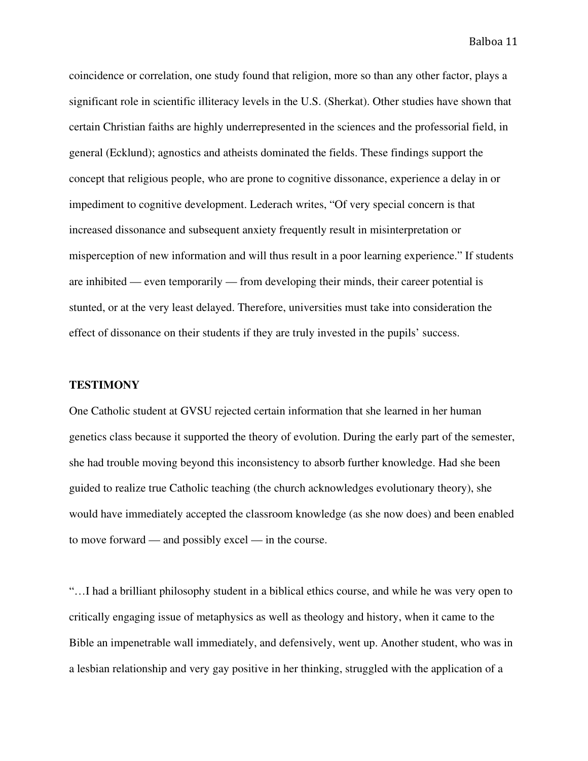coincidence or correlation, one study found that religion, more so than any other factor, plays a significant role in scientific illiteracy levels in the U.S. (Sherkat). Other studies have shown that certain Christian faiths are highly underrepresented in the sciences and the professorial field, in general (Ecklund); agnostics and atheists dominated the fields. These findings support the concept that religious people, who are prone to cognitive dissonance, experience a delay in or impediment to cognitive development. Lederach writes, "Of very special concern is that increased dissonance and subsequent anxiety frequently result in misinterpretation or misperception of new information and will thus result in a poor learning experience." If students are inhibited — even temporarily — from developing their minds, their career potential is stunted, or at the very least delayed. Therefore, universities must take into consideration the effect of dissonance on their students if they are truly invested in the pupils' success.

#### **TESTIMONY**

One Catholic student at GVSU rejected certain information that she learned in her human genetics class because it supported the theory of evolution. During the early part of the semester, she had trouble moving beyond this inconsistency to absorb further knowledge. Had she been guided to realize true Catholic teaching (the church acknowledges evolutionary theory), she would have immediately accepted the classroom knowledge (as she now does) and been enabled to move forward — and possibly excel — in the course.

"…I had a brilliant philosophy student in a biblical ethics course, and while he was very open to critically engaging issue of metaphysics as well as theology and history, when it came to the Bible an impenetrable wall immediately, and defensively, went up. Another student, who was in a lesbian relationship and very gay positive in her thinking, struggled with the application of a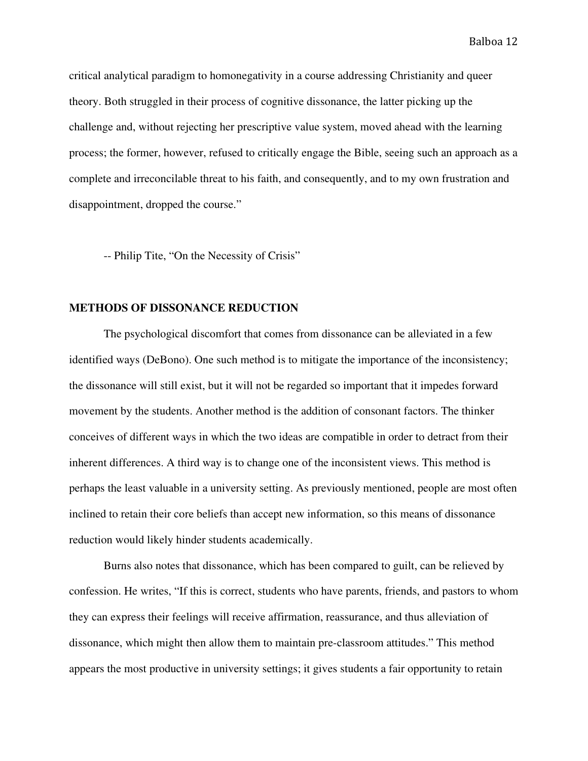critical analytical paradigm to homonegativity in a course addressing Christianity and queer theory. Both struggled in their process of cognitive dissonance, the latter picking up the challenge and, without rejecting her prescriptive value system, moved ahead with the learning process; the former, however, refused to critically engage the Bible, seeing such an approach as a complete and irreconcilable threat to his faith, and consequently, and to my own frustration and disappointment, dropped the course."

-- Philip Tite, "On the Necessity of Crisis"

### **METHODS OF DISSONANCE REDUCTION**

The psychological discomfort that comes from dissonance can be alleviated in a few identified ways (DeBono). One such method is to mitigate the importance of the inconsistency; the dissonance will still exist, but it will not be regarded so important that it impedes forward movement by the students. Another method is the addition of consonant factors. The thinker conceives of different ways in which the two ideas are compatible in order to detract from their inherent differences. A third way is to change one of the inconsistent views. This method is perhaps the least valuable in a university setting. As previously mentioned, people are most often inclined to retain their core beliefs than accept new information, so this means of dissonance reduction would likely hinder students academically.

Burns also notes that dissonance, which has been compared to guilt, can be relieved by confession. He writes, "If this is correct, students who have parents, friends, and pastors to whom they can express their feelings will receive affirmation, reassurance, and thus alleviation of dissonance, which might then allow them to maintain pre-classroom attitudes." This method appears the most productive in university settings; it gives students a fair opportunity to retain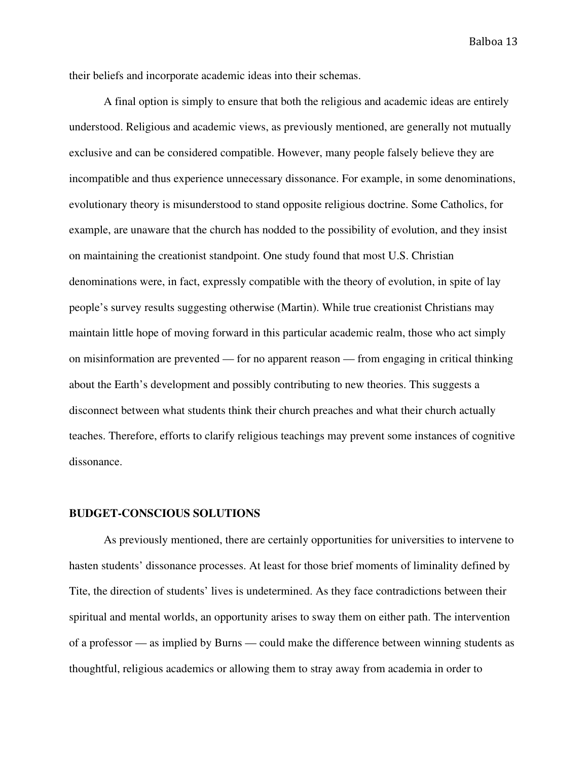their beliefs and incorporate academic ideas into their schemas.

A final option is simply to ensure that both the religious and academic ideas are entirely understood. Religious and academic views, as previously mentioned, are generally not mutually exclusive and can be considered compatible. However, many people falsely believe they are incompatible and thus experience unnecessary dissonance. For example, in some denominations, evolutionary theory is misunderstood to stand opposite religious doctrine. Some Catholics, for example, are unaware that the church has nodded to the possibility of evolution, and they insist on maintaining the creationist standpoint. One study found that most U.S. Christian denominations were, in fact, expressly compatible with the theory of evolution, in spite of lay people's survey results suggesting otherwise (Martin). While true creationist Christians may maintain little hope of moving forward in this particular academic realm, those who act simply on misinformation are prevented — for no apparent reason — from engaging in critical thinking about the Earth's development and possibly contributing to new theories. This suggests a disconnect between what students think their church preaches and what their church actually teaches. Therefore, efforts to clarify religious teachings may prevent some instances of cognitive dissonance.

### **BUDGET-CONSCIOUS SOLUTIONS**

As previously mentioned, there are certainly opportunities for universities to intervene to hasten students' dissonance processes. At least for those brief moments of liminality defined by Tite, the direction of students' lives is undetermined. As they face contradictions between their spiritual and mental worlds, an opportunity arises to sway them on either path. The intervention of a professor — as implied by Burns — could make the difference between winning students as thoughtful, religious academics or allowing them to stray away from academia in order to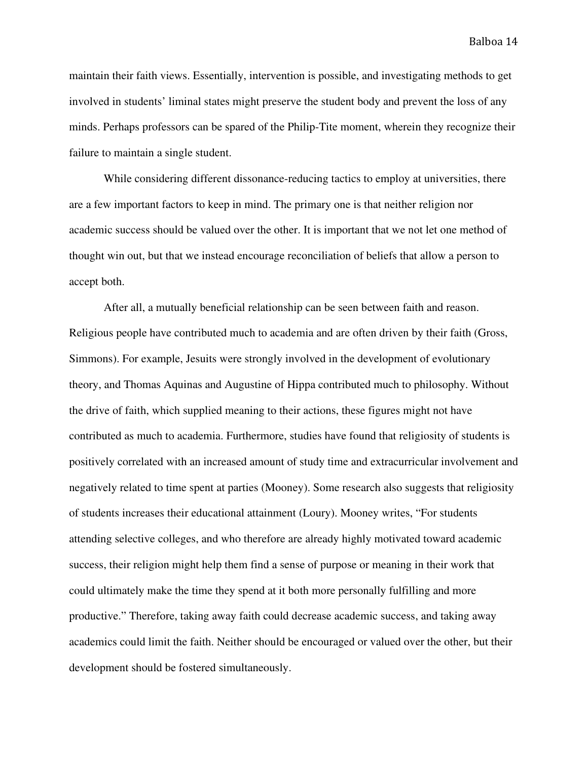maintain their faith views. Essentially, intervention is possible, and investigating methods to get involved in students' liminal states might preserve the student body and prevent the loss of any minds. Perhaps professors can be spared of the Philip-Tite moment, wherein they recognize their failure to maintain a single student.

While considering different dissonance-reducing tactics to employ at universities, there are a few important factors to keep in mind. The primary one is that neither religion nor academic success should be valued over the other. It is important that we not let one method of thought win out, but that we instead encourage reconciliation of beliefs that allow a person to accept both.

After all, a mutually beneficial relationship can be seen between faith and reason. Religious people have contributed much to academia and are often driven by their faith (Gross, Simmons). For example, Jesuits were strongly involved in the development of evolutionary theory, and Thomas Aquinas and Augustine of Hippa contributed much to philosophy. Without the drive of faith, which supplied meaning to their actions, these figures might not have contributed as much to academia. Furthermore, studies have found that religiosity of students is positively correlated with an increased amount of study time and extracurricular involvement and negatively related to time spent at parties (Mooney). Some research also suggests that religiosity of students increases their educational attainment (Loury). Mooney writes, "For students attending selective colleges, and who therefore are already highly motivated toward academic success, their religion might help them find a sense of purpose or meaning in their work that could ultimately make the time they spend at it both more personally fulfilling and more productive." Therefore, taking away faith could decrease academic success, and taking away academics could limit the faith. Neither should be encouraged or valued over the other, but their development should be fostered simultaneously.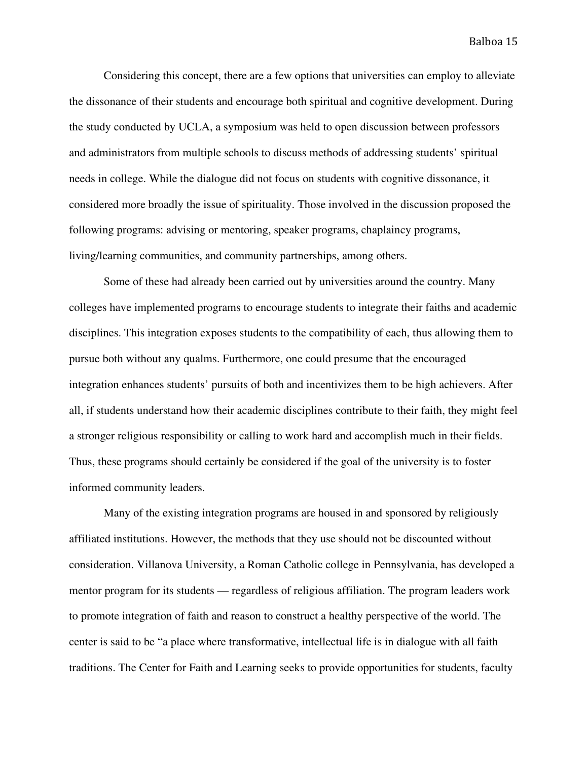Considering this concept, there are a few options that universities can employ to alleviate the dissonance of their students and encourage both spiritual and cognitive development. During the study conducted by UCLA, a symposium was held to open discussion between professors and administrators from multiple schools to discuss methods of addressing students' spiritual needs in college. While the dialogue did not focus on students with cognitive dissonance, it considered more broadly the issue of spirituality. Those involved in the discussion proposed the following programs: advising or mentoring, speaker programs, chaplaincy programs, living/learning communities, and community partnerships, among others.

Some of these had already been carried out by universities around the country. Many colleges have implemented programs to encourage students to integrate their faiths and academic disciplines. This integration exposes students to the compatibility of each, thus allowing them to pursue both without any qualms. Furthermore, one could presume that the encouraged integration enhances students' pursuits of both and incentivizes them to be high achievers. After all, if students understand how their academic disciplines contribute to their faith, they might feel a stronger religious responsibility or calling to work hard and accomplish much in their fields. Thus, these programs should certainly be considered if the goal of the university is to foster informed community leaders.

Many of the existing integration programs are housed in and sponsored by religiously affiliated institutions. However, the methods that they use should not be discounted without consideration. Villanova University, a Roman Catholic college in Pennsylvania, has developed a mentor program for its students — regardless of religious affiliation. The program leaders work to promote integration of faith and reason to construct a healthy perspective of the world. The center is said to be "a place where transformative, intellectual life is in dialogue with all faith traditions. The Center for Faith and Learning seeks to provide opportunities for students, faculty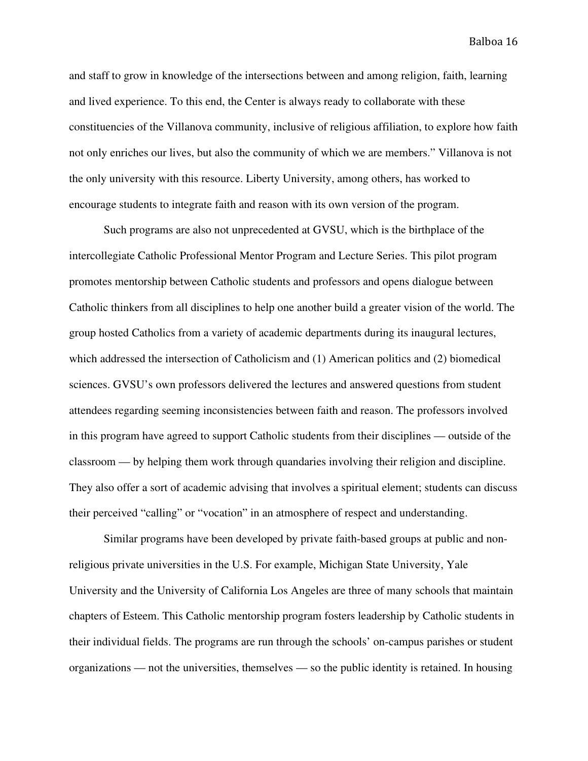and staff to grow in knowledge of the intersections between and among religion, faith, learning and lived experience. To this end, the Center is always ready to collaborate with these constituencies of the Villanova community, inclusive of religious affiliation, to explore how faith not only enriches our lives, but also the community of which we are members." Villanova is not the only university with this resource. Liberty University, among others, has worked to encourage students to integrate faith and reason with its own version of the program.

Such programs are also not unprecedented at GVSU, which is the birthplace of the intercollegiate Catholic Professional Mentor Program and Lecture Series. This pilot program promotes mentorship between Catholic students and professors and opens dialogue between Catholic thinkers from all disciplines to help one another build a greater vision of the world. The group hosted Catholics from a variety of academic departments during its inaugural lectures, which addressed the intersection of Catholicism and (1) American politics and (2) biomedical sciences. GVSU's own professors delivered the lectures and answered questions from student attendees regarding seeming inconsistencies between faith and reason. The professors involved in this program have agreed to support Catholic students from their disciplines — outside of the classroom — by helping them work through quandaries involving their religion and discipline. They also offer a sort of academic advising that involves a spiritual element; students can discuss their perceived "calling" or "vocation" in an atmosphere of respect and understanding.

Similar programs have been developed by private faith-based groups at public and nonreligious private universities in the U.S. For example, Michigan State University, Yale University and the University of California Los Angeles are three of many schools that maintain chapters of Esteem. This Catholic mentorship program fosters leadership by Catholic students in their individual fields. The programs are run through the schools' on-campus parishes or student organizations — not the universities, themselves — so the public identity is retained. In housing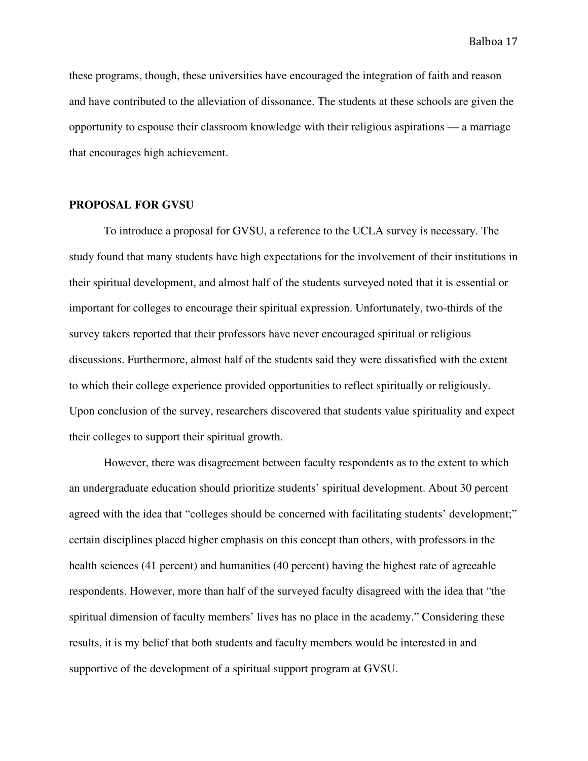these programs, though, these universities have encouraged the integration of faith and reason and have contributed to the alleviation of dissonance. The students at these schools are given the opportunity to espouse their classroom knowledge with their religious aspirations — a marriage that encourages high achievement.

#### **PROPOSAL FOR GVSU**

To introduce a proposal for GVSU, a reference to the UCLA survey is necessary. The study found that many students have high expectations for the involvement of their institutions in their spiritual development, and almost half of the students surveyed noted that it is essential or important for colleges to encourage their spiritual expression. Unfortunately, two-thirds of the survey takers reported that their professors have never encouraged spiritual or religious discussions. Furthermore, almost half of the students said they were dissatisfied with the extent to which their college experience provided opportunities to reflect spiritually or religiously. Upon conclusion of the survey, researchers discovered that students value spirituality and expect their colleges to support their spiritual growth.

However, there was disagreement between faculty respondents as to the extent to which an undergraduate education should prioritize students' spiritual development. About 30 percent agreed with the idea that "colleges should be concerned with facilitating students' development;" certain disciplines placed higher emphasis on this concept than others, with professors in the health sciences (41 percent) and humanities (40 percent) having the highest rate of agreeable respondents. However, more than half of the surveyed faculty disagreed with the idea that "the spiritual dimension of faculty members' lives has no place in the academy." Considering these results, it is my belief that both students and faculty members would be interested in and supportive of the development of a spiritual support program at GVSU.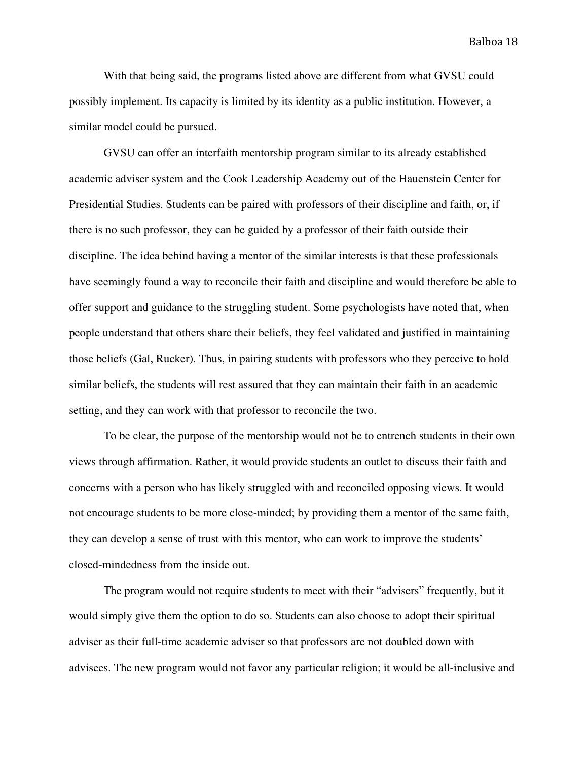With that being said, the programs listed above are different from what GVSU could possibly implement. Its capacity is limited by its identity as a public institution. However, a similar model could be pursued.

GVSU can offer an interfaith mentorship program similar to its already established academic adviser system and the Cook Leadership Academy out of the Hauenstein Center for Presidential Studies. Students can be paired with professors of their discipline and faith, or, if there is no such professor, they can be guided by a professor of their faith outside their discipline. The idea behind having a mentor of the similar interests is that these professionals have seemingly found a way to reconcile their faith and discipline and would therefore be able to offer support and guidance to the struggling student. Some psychologists have noted that, when people understand that others share their beliefs, they feel validated and justified in maintaining those beliefs (Gal, Rucker). Thus, in pairing students with professors who they perceive to hold similar beliefs, the students will rest assured that they can maintain their faith in an academic setting, and they can work with that professor to reconcile the two.

To be clear, the purpose of the mentorship would not be to entrench students in their own views through affirmation. Rather, it would provide students an outlet to discuss their faith and concerns with a person who has likely struggled with and reconciled opposing views. It would not encourage students to be more close-minded; by providing them a mentor of the same faith, they can develop a sense of trust with this mentor, who can work to improve the students' closed-mindedness from the inside out.

The program would not require students to meet with their "advisers" frequently, but it would simply give them the option to do so. Students can also choose to adopt their spiritual adviser as their full-time academic adviser so that professors are not doubled down with advisees. The new program would not favor any particular religion; it would be all-inclusive and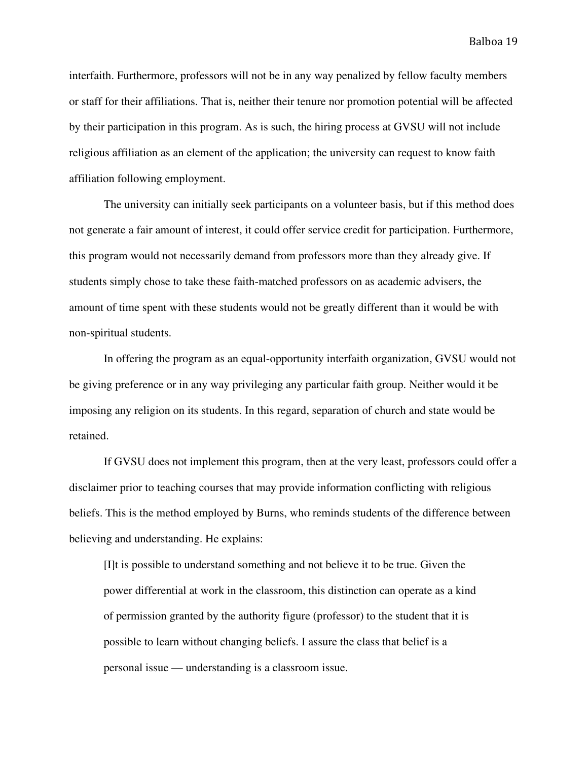interfaith. Furthermore, professors will not be in any way penalized by fellow faculty members or staff for their affiliations. That is, neither their tenure nor promotion potential will be affected by their participation in this program. As is such, the hiring process at GVSU will not include religious affiliation as an element of the application; the university can request to know faith affiliation following employment.

The university can initially seek participants on a volunteer basis, but if this method does not generate a fair amount of interest, it could offer service credit for participation. Furthermore, this program would not necessarily demand from professors more than they already give. If students simply chose to take these faith-matched professors on as academic advisers, the amount of time spent with these students would not be greatly different than it would be with non-spiritual students.

In offering the program as an equal-opportunity interfaith organization, GVSU would not be giving preference or in any way privileging any particular faith group. Neither would it be imposing any religion on its students. In this regard, separation of church and state would be retained.

If GVSU does not implement this program, then at the very least, professors could offer a disclaimer prior to teaching courses that may provide information conflicting with religious beliefs. This is the method employed by Burns, who reminds students of the difference between believing and understanding. He explains:

[I]t is possible to understand something and not believe it to be true. Given the power differential at work in the classroom, this distinction can operate as a kind of permission granted by the authority figure (professor) to the student that it is possible to learn without changing beliefs. I assure the class that belief is a personal issue — understanding is a classroom issue.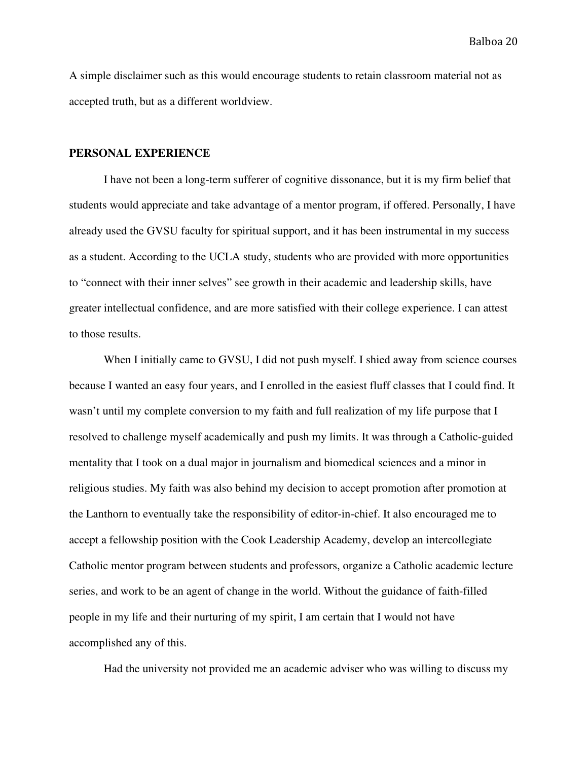A simple disclaimer such as this would encourage students to retain classroom material not as accepted truth, but as a different worldview.

#### **PERSONAL EXPERIENCE**

I have not been a long-term sufferer of cognitive dissonance, but it is my firm belief that students would appreciate and take advantage of a mentor program, if offered. Personally, I have already used the GVSU faculty for spiritual support, and it has been instrumental in my success as a student. According to the UCLA study, students who are provided with more opportunities to "connect with their inner selves" see growth in their academic and leadership skills, have greater intellectual confidence, and are more satisfied with their college experience. I can attest to those results.

When I initially came to GVSU, I did not push myself. I shied away from science courses because I wanted an easy four years, and I enrolled in the easiest fluff classes that I could find. It wasn't until my complete conversion to my faith and full realization of my life purpose that I resolved to challenge myself academically and push my limits. It was through a Catholic-guided mentality that I took on a dual major in journalism and biomedical sciences and a minor in religious studies. My faith was also behind my decision to accept promotion after promotion at the Lanthorn to eventually take the responsibility of editor-in-chief. It also encouraged me to accept a fellowship position with the Cook Leadership Academy, develop an intercollegiate Catholic mentor program between students and professors, organize a Catholic academic lecture series, and work to be an agent of change in the world. Without the guidance of faith-filled people in my life and their nurturing of my spirit, I am certain that I would not have accomplished any of this.

Had the university not provided me an academic adviser who was willing to discuss my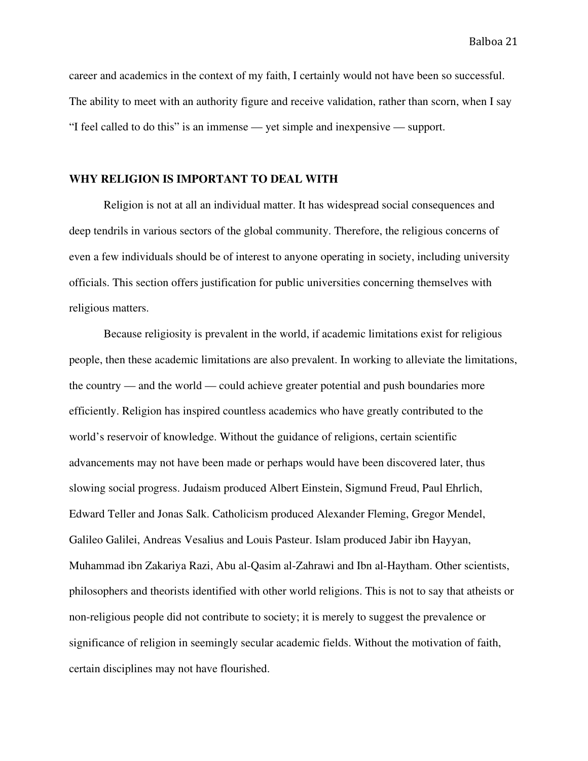career and academics in the context of my faith, I certainly would not have been so successful. The ability to meet with an authority figure and receive validation, rather than scorn, when I say "I feel called to do this" is an immense — yet simple and inexpensive — support.

#### **WHY RELIGION IS IMPORTANT TO DEAL WITH**

Religion is not at all an individual matter. It has widespread social consequences and deep tendrils in various sectors of the global community. Therefore, the religious concerns of even a few individuals should be of interest to anyone operating in society, including university officials. This section offers justification for public universities concerning themselves with religious matters.

Because religiosity is prevalent in the world, if academic limitations exist for religious people, then these academic limitations are also prevalent. In working to alleviate the limitations, the country — and the world — could achieve greater potential and push boundaries more efficiently. Religion has inspired countless academics who have greatly contributed to the world's reservoir of knowledge. Without the guidance of religions, certain scientific advancements may not have been made or perhaps would have been discovered later, thus slowing social progress. Judaism produced Albert Einstein, Sigmund Freud, Paul Ehrlich, Edward Teller and Jonas Salk. Catholicism produced Alexander Fleming, Gregor Mendel, Galileo Galilei, Andreas Vesalius and Louis Pasteur. Islam produced Jabir ibn Hayyan, Muhammad ibn Zakariya Razi, Abu al-Qasim al-Zahrawi and Ibn al-Haytham. Other scientists, philosophers and theorists identified with other world religions. This is not to say that atheists or non-religious people did not contribute to society; it is merely to suggest the prevalence or significance of religion in seemingly secular academic fields. Without the motivation of faith, certain disciplines may not have flourished.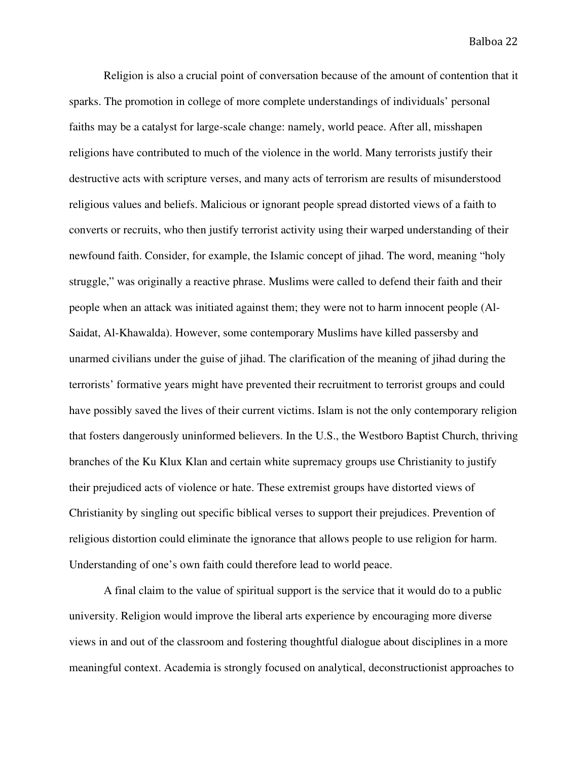Religion is also a crucial point of conversation because of the amount of contention that it sparks. The promotion in college of more complete understandings of individuals' personal faiths may be a catalyst for large-scale change: namely, world peace. After all, misshapen religions have contributed to much of the violence in the world. Many terrorists justify their destructive acts with scripture verses, and many acts of terrorism are results of misunderstood religious values and beliefs. Malicious or ignorant people spread distorted views of a faith to converts or recruits, who then justify terrorist activity using their warped understanding of their newfound faith. Consider, for example, the Islamic concept of jihad. The word, meaning "holy struggle," was originally a reactive phrase. Muslims were called to defend their faith and their people when an attack was initiated against them; they were not to harm innocent people (Al-Saidat, Al-Khawalda). However, some contemporary Muslims have killed passersby and unarmed civilians under the guise of jihad. The clarification of the meaning of jihad during the terrorists' formative years might have prevented their recruitment to terrorist groups and could have possibly saved the lives of their current victims. Islam is not the only contemporary religion that fosters dangerously uninformed believers. In the U.S., the Westboro Baptist Church, thriving branches of the Ku Klux Klan and certain white supremacy groups use Christianity to justify their prejudiced acts of violence or hate. These extremist groups have distorted views of Christianity by singling out specific biblical verses to support their prejudices. Prevention of religious distortion could eliminate the ignorance that allows people to use religion for harm. Understanding of one's own faith could therefore lead to world peace.

A final claim to the value of spiritual support is the service that it would do to a public university. Religion would improve the liberal arts experience by encouraging more diverse views in and out of the classroom and fostering thoughtful dialogue about disciplines in a more meaningful context. Academia is strongly focused on analytical, deconstructionist approaches to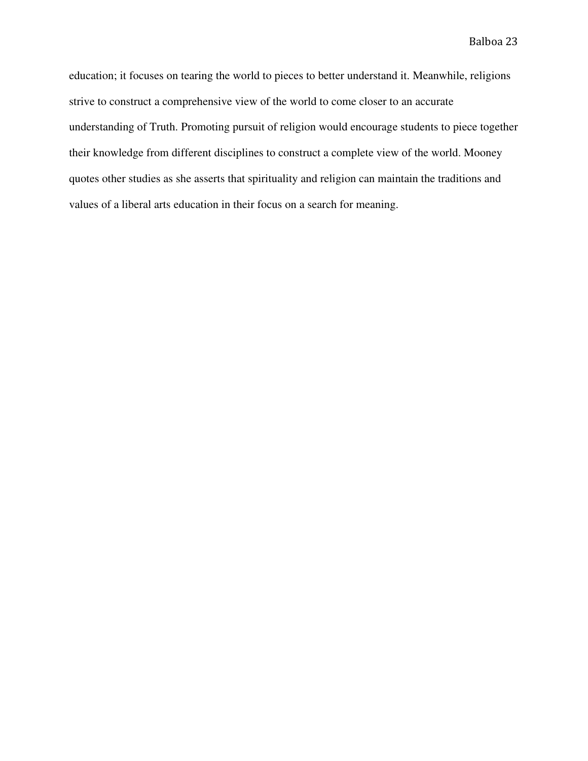education; it focuses on tearing the world to pieces to better understand it. Meanwhile, religions strive to construct a comprehensive view of the world to come closer to an accurate understanding of Truth. Promoting pursuit of religion would encourage students to piece together their knowledge from different disciplines to construct a complete view of the world. Mooney quotes other studies as she asserts that spirituality and religion can maintain the traditions and values of a liberal arts education in their focus on a search for meaning.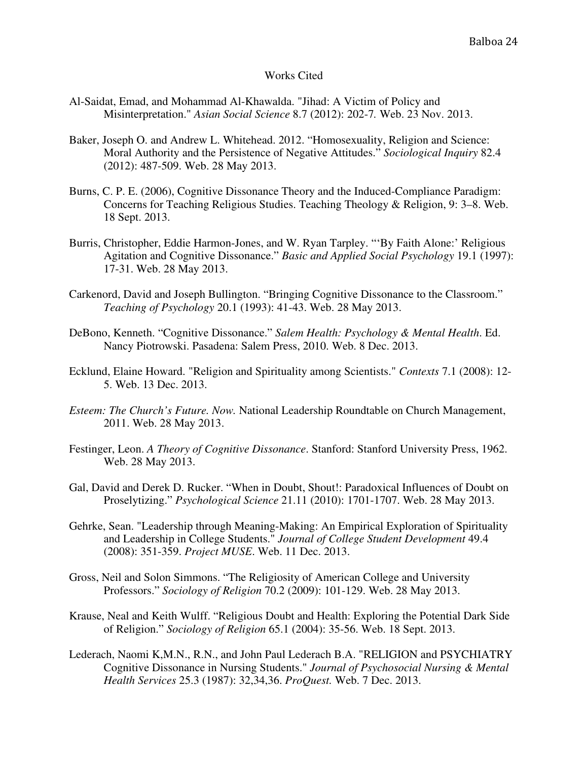#### Works Cited

- Al-Saidat, Emad, and Mohammad Al-Khawalda. "Jihad: A Victim of Policy and Misinterpretation." *Asian Social Science* 8.7 (2012): 202-7*.* Web. 23 Nov. 2013.
- Baker, Joseph O. and Andrew L. Whitehead. 2012. "Homosexuality, Religion and Science: Moral Authority and the Persistence of Negative Attitudes." *Sociological Inquiry* 82.4 (2012): 487-509. Web. 28 May 2013.
- Burns, C. P. E. (2006), Cognitive Dissonance Theory and the Induced-Compliance Paradigm: Concerns for Teaching Religious Studies. Teaching Theology & Religion, 9: 3–8. Web. 18 Sept. 2013.
- Burris, Christopher, Eddie Harmon-Jones, and W. Ryan Tarpley. "'By Faith Alone:' Religious Agitation and Cognitive Dissonance." *Basic and Applied Social Psychology* 19.1 (1997): 17-31. Web. 28 May 2013.
- Carkenord, David and Joseph Bullington. "Bringing Cognitive Dissonance to the Classroom." *Teaching of Psychology* 20.1 (1993): 41-43. Web. 28 May 2013.
- DeBono, Kenneth. "Cognitive Dissonance." *Salem Health: Psychology & Mental Health*. Ed. Nancy Piotrowski. Pasadena: Salem Press, 2010. Web. 8 Dec. 2013.
- Ecklund, Elaine Howard. "Religion and Spirituality among Scientists." *Contexts* 7.1 (2008): 12- 5. Web. 13 Dec. 2013.
- *Esteem: The Church's Future. Now.* National Leadership Roundtable on Church Management, 2011. Web. 28 May 2013.
- Festinger, Leon. *A Theory of Cognitive Dissonance*. Stanford: Stanford University Press, 1962. Web. 28 May 2013.
- Gal, David and Derek D. Rucker. "When in Doubt, Shout!: Paradoxical Influences of Doubt on Proselytizing." *Psychological Science* 21.11 (2010): 1701-1707. Web. 28 May 2013.
- Gehrke, Sean. "Leadership through Meaning-Making: An Empirical Exploration of Spirituality and Leadership in College Students." *Journal of College Student Development* 49.4 (2008): 351-359. *Project MUSE*. Web. 11 Dec. 2013.
- Gross, Neil and Solon Simmons. "The Religiosity of American College and University Professors." *Sociology of Religion* 70.2 (2009): 101-129. Web. 28 May 2013.
- Krause, Neal and Keith Wulff. "Religious Doubt and Health: Exploring the Potential Dark Side of Religion." *Sociology of Religion* 65.1 (2004): 35-56. Web. 18 Sept. 2013.
- Lederach, Naomi K,M.N., R.N., and John Paul Lederach B.A. "RELIGION and PSYCHIATRY Cognitive Dissonance in Nursing Students." *Journal of Psychosocial Nursing & Mental Health Services* 25.3 (1987): 32,34,36. *ProQuest.* Web. 7 Dec. 2013.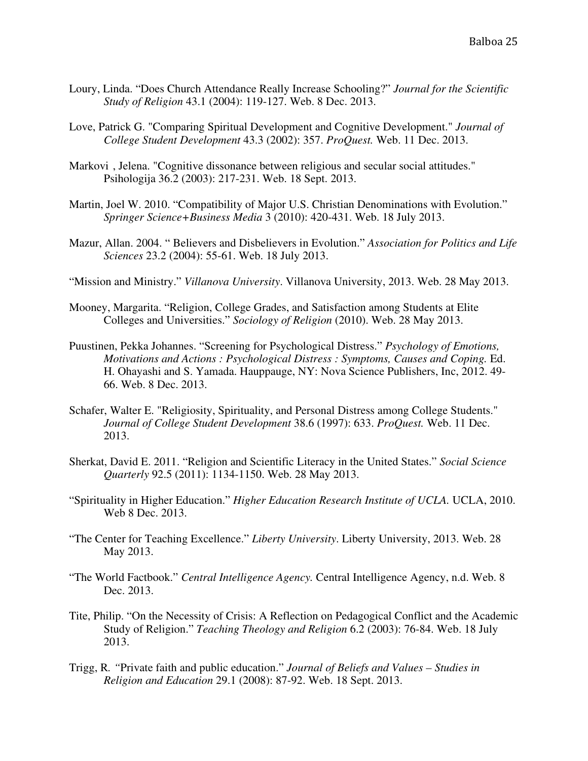- Loury, Linda. "Does Church Attendance Really Increase Schooling?" *Journal for the Scientific Study of Religion* 43.1 (2004): 119-127. Web. 8 Dec. 2013.
- Love, Patrick G. "Comparing Spiritual Development and Cognitive Development." *Journal of College Student Development* 43.3 (2002): 357. *ProQuest.* Web. 11 Dec. 2013.
- Markovi , Jelena. "Cognitive dissonance between religious and secular social attitudes." Psihologija 36.2 (2003): 217-231. Web. 18 Sept. 2013.
- Martin, Joel W. 2010. "Compatibility of Major U.S. Christian Denominations with Evolution." *Springer Science+Business Media* 3 (2010): 420-431. Web. 18 July 2013.
- Mazur, Allan. 2004. " Believers and Disbelievers in Evolution." *Association for Politics and Life Sciences* 23.2 (2004): 55-61. Web. 18 July 2013.
- "Mission and Ministry." *Villanova University*. Villanova University, 2013. Web. 28 May 2013.
- Mooney, Margarita. "Religion, College Grades, and Satisfaction among Students at Elite Colleges and Universities." *Sociology of Religion* (2010). Web. 28 May 2013.
- Puustinen, Pekka Johannes. "Screening for Psychological Distress." *Psychology of Emotions, Motivations and Actions : Psychological Distress : Symptoms, Causes and Coping.* Ed. H. Ohayashi and S. Yamada. Hauppauge, NY: Nova Science Publishers, Inc, 2012. 49- 66. Web. 8 Dec. 2013.
- Schafer, Walter E. "Religiosity, Spirituality, and Personal Distress among College Students." *Journal of College Student Development* 38.6 (1997): 633. *ProQuest.* Web. 11 Dec. 2013.
- Sherkat, David E. 2011. "Religion and Scientific Literacy in the United States." *Social Science Quarterly* 92.5 (2011): 1134-1150. Web. 28 May 2013.
- "Spirituality in Higher Education." *Higher Education Research Institute of UCLA.* UCLA, 2010. Web 8 Dec. 2013.
- "The Center for Teaching Excellence." *Liberty University*. Liberty University, 2013. Web. 28 May 2013.
- "The World Factbook." *Central Intelligence Agency.* Central Intelligence Agency, n.d. Web. 8 Dec. 2013.
- Tite, Philip. "On the Necessity of Crisis: A Reflection on Pedagogical Conflict and the Academic Study of Religion." *Teaching Theology and Religion* 6.2 (2003): 76-84. Web. 18 July 2013.
- Trigg, R*. "*Private faith and public education." *Journal of Beliefs and Values Studies in Religion and Education* 29.1 (2008): 87-92. Web. 18 Sept. 2013.